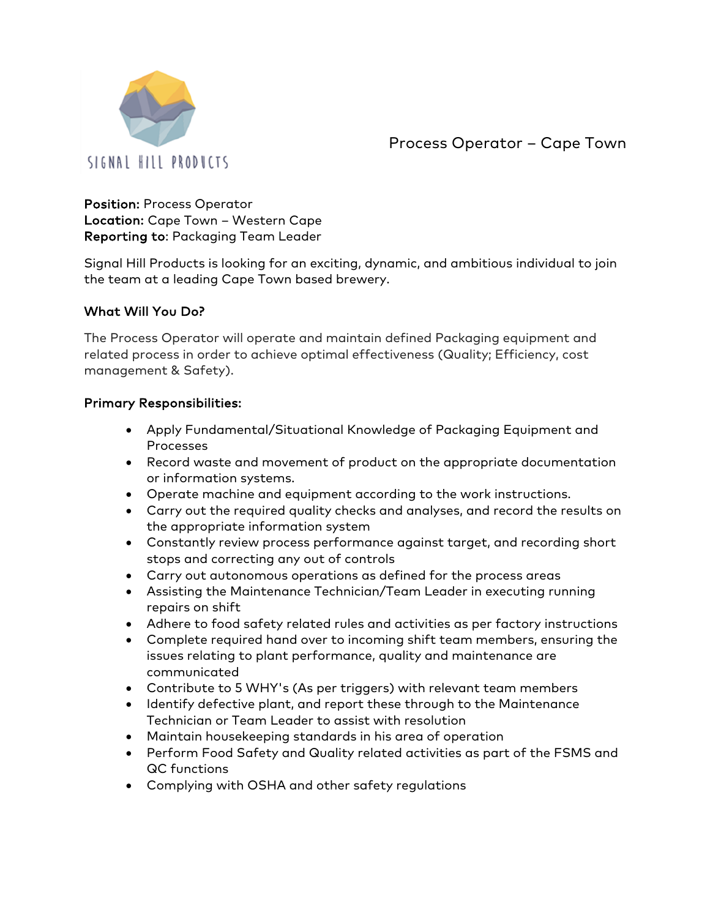

Process Operator – Cape Town

Position: Process Operator Location: Cape Town – Western Cape Reporting to: Packaging Team Leader

Signal Hill Products is looking for an exciting, dynamic, and ambitious individual to join the team at a leading Cape Town based brewery.

## What Will You Do?

The Process Operator will operate and maintain defined Packaging equipment and related process in order to achieve optimal effectiveness (Quality; Efficiency, cost management & Safety).

## Primary Responsibilities:

- Apply Fundamental/Situational Knowledge of Packaging Equipment and Processes
- Record waste and movement of product on the appropriate documentation or information systems.
- Operate machine and equipment according to the work instructions.
- Carry out the required quality checks and analyses, and record the results on the appropriate information system
- Constantly review process performance against target, and recording short stops and correcting any out of controls
- Carry out autonomous operations as defined for the process areas
- Assisting the Maintenance Technician/Team Leader in executing running repairs on shift
- Adhere to food safety related rules and activities as per factory instructions
- Complete required hand over to incoming shift team members, ensuring the issues relating to plant performance, quality and maintenance are communicated
- Contribute to 5 WHY's (As per triggers) with relevant team members
- Identify defective plant, and report these through to the Maintenance Technician or Team Leader to assist with resolution
- Maintain housekeeping standards in his area of operation
- Perform Food Safety and Quality related activities as part of the FSMS and QC functions
- Complying with OSHA and other safety regulations